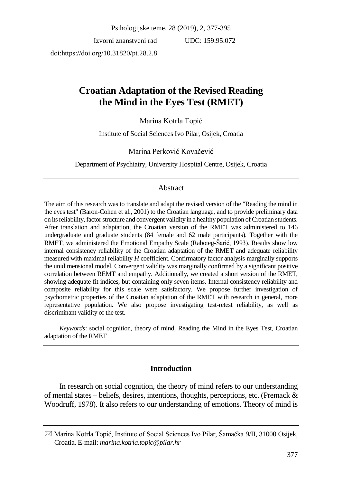Izvorni znanstveni rad doi:https://doi.org/10.31820/pt.28.2.8

UDC: 159.95.072

# **Croatian Adaptation of the Revised Reading the Mind in the Eyes Test (RMET)**

# Marina Kotrla Topić

Institute of Social Sciences Ivo Pilar, Osijek, Croatia

## Marina Perković Kovačević

Department of Psychiatry, University Hospital Centre, Osijek, Croatia

# Abstract

The aim of this research was to translate and adapt the revised version of the "Reading the mind in the eyes test" (Baron-Cohen et al., 2001) to the Croatian language, and to provide preliminary data on its reliability, factor structure and convergent validity in a healthy population of Croatian students. After translation and adaptation, the Croatian version of the RMET was administered to 146 undergraduate and graduate students (84 female and 62 male participants). Together with the RMET, we administered the Emotional Empathy Scale (Raboteg-Šarić, 1993). Results show low internal consistency reliability of the Croatian adaptation of the RMET and adequate reliability measured with maximal reliability *H* coefficient. Confirmatory factor analysis marginally supports the unidimensional model. Convergent validity was marginally confirmed by a significant positive correlation between REMT and empathy. Additionally, we created a short version of the RMET, showing adequate fit indices, but containing only seven items. Internal consistency reliability and composite reliability for this scale were satisfactory. We propose further investigation of psychometric properties of the Croatian adaptation of the RMET with research in general, more representative population. We also propose investigating test-retest reliability, as well as discriminant validity of the test.

*Keywords*: social cognition, theory of mind, Reading the Mind in the Eyes Test, Croatian adaptation of the RMET

# **Introduction**

In research on social cognition, the theory of mind refers to our understanding of mental states – beliefs, desires, intentions, thoughts, perceptions, etc. (Premack  $\&$ Woodruff, 1978). It also refers to our understanding of emotions. Theory of mind is

 $\boxtimes$  Marina Kotrla Topić, Institute of Social Sciences Ivo Pilar, Šamačka 9/II, 31000 Osijek, Croatia. E-mail: *marina.kotrla.topic@pilar.hr*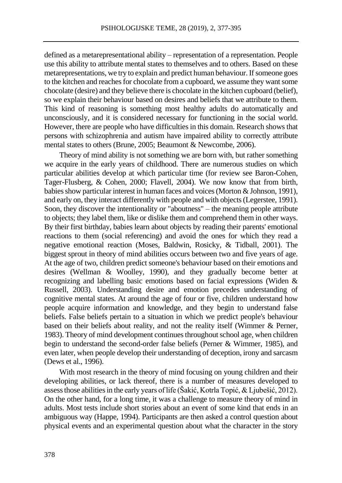defined as a metarepresentational ability – representation of a representation. People use this ability to attribute mental states to themselves and to others. Based on these metarepresentations, we try to explain and predict human behaviour. If someone goes to the kitchen and reaches for chocolate from a cupboard, we assume they want some chocolate (desire) and they believe there is chocolate in the kitchen cupboard (belief), so we explain their behaviour based on desires and beliefs that we attribute to them. This kind of reasoning is something most healthy adults do automatically and unconsciously, and it is considered necessary for functioning in the social world. However, there are people who have difficulties in this domain. Research shows that persons with schizophrenia and autism have impaired ability to correctly attribute mental states to others (Brune, 2005; Beaumont & Newcombe, 2006).

Theory of mind ability is not something we are born with, but rather something we acquire in the early years of childhood. There are numerous studies on which particular abilities develop at which particular time (for review see Baron-Cohen, Tager-Flusberg, & Cohen, 2000; Flavell, 2004). We now know that from birth, babies show particular interest in human faces and voices(Morton & Johnson, 1991), and early on, they interact differently with people and with objects(Legerstee, 1991). Soon, they discover the intentionality or "aboutness" – the meaning people attribute to objects; they label them, like or dislike them and comprehend them in other ways. By their first birthday, babies learn about objects by reading their parents' emotional reactions to them (social referencing) and avoid the ones for which they read a negative emotional reaction (Moses, Baldwin, Rosicky, & Tidball, 2001). The biggest sprout in theory of mind abilities occurs between two and five years of age. At the age of two, children predict someone's behaviour based on their emotions and desires (Wellman & Woolley, 1990), and they gradually become better at recognizing and labelling basic emotions based on facial expressions (Widen & Russell, 2003). Understanding desire and emotion precedes understanding of cognitive mental states. At around the age of four or five, children understand how people acquire information and knowledge, and they begin to understand false beliefs. False beliefs pertain to a situation in which we predict people's behaviour based on their beliefs about reality, and not the reality itself (Wimmer & Perner, 1983). Theory of mind development continues throughoutschool age, when children begin to understand the second-order false beliefs (Perner & Wimmer, 1985), and even later, when people develop their understanding of deception, irony and sarcasm (Dews et al., 1996).

With most research in the theory of mind focusing on young children and their developing abilities, or lack thereof, there is a number of measures developed to assess those abilities in the early years of life (Šakić, Kotrla Topić, & Ljubešić, 2012). On the other hand, for a long time, it was a challenge to measure theory of mind in adults. Most tests include short stories about an event of some kind that ends in an ambiguous way (Happe, 1994). Participants are then asked a control question about physical events and an experimental question about what the character in the story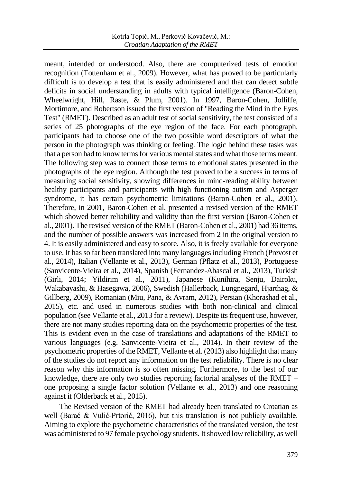meant, intended or understood. Also, there are computerized tests of emotion recognition (Tottenham et al., 2009). However, what has proved to be particularly difficult is to develop a test that is easily administered and that can detect subtle deficits in social understanding in adults with typical intelligence (Baron-Cohen, Wheelwright, Hill, Raste, & Plum, 2001). In 1997, Baron-Cohen, Jolliffe, Mortimore, and Robertson issued the first version of "Reading the Mind in the Eyes Test" (RMET). Described as an adult test of social sensitivity, the test consisted of a series of 25 photographs of the eye region of the face. For each photograph, participants had to choose one of the two possible word descriptors of what the person in the photograph was thinking or feeling. The logic behind these tasks was that a person had to know terms for various mental states and what those terms meant. The following step was to connect those terms to emotional states presented in the photographs of the eye region. Although the test proved to be a success in terms of measuring social sensitivity, showing differences in mind-reading ability between healthy participants and participants with high functioning autism and Asperger syndrome, it has certain psychometric limitations (Baron-Cohen et al., 2001). Therefore, in 2001, Baron-Cohen et al. presented a revised version of the RMET which showed better reliability and validity than the first version (Baron-Cohen et al., 2001). The revised version of the RMET (Baron-Cohen et al., 2001) had 36 items, and the number of possible answers was increased from 2 in the original version to 4. It is easily administered and easy to score. Also, it is freely available for everyone to use. It has so far been translated into many languages including French (Prevost et al., 2014), Italian (Vellante et al., 2013), German (Pflatz et al., 2013), Portuguese (Sanvicente-Vieira et al., 2014), Spanish (Fernandez-Abascal et al., 2013), Turkish (Girli, 2014; Yildirim et al., 2011), Japanese (Kunihira, Senju, Dairoku, Wakabayashi, & Hasegawa, 2006), Swedish (Hallerback, Lungnegard, Hjarthag, & Gillberg, 2009), Romanian (Miu, Pana, & Avram, 2012), Persian (Khorashad et al., 2015), etc. and used in numerous studies with both non-clinical and clinical population (see Vellante et al., 2013 for a review). Despite its frequent use, however, there are not many studies reporting data on the psychometric properties of the test. This is evident even in the case of translations and adaptations of the RMET to various languages (e.g. Sanvicente-Vieira et al., 2014). In their review of the psychometric properties of the RMET, Vellante et al. (2013) also highlight that many of the studies do not report any information on the test reliability. There is no clear reason why this information is so often missing. Furthermore, to the best of our knowledge, there are only two studies reporting factorial analyses of the RMET – one proposing a single factor solution (Vellante et al., 2013) and one reasoning against it (Olderback et al., 2015).

The Revised version of the RMET had already been translated to Croatian as well (Barać & Vulić-Prtorić, 2016), but this translation is not publicly available. Aiming to explore the psychometric characteristics of the translated version, the test was administered to 97 female psychology students. It showed low reliability, as well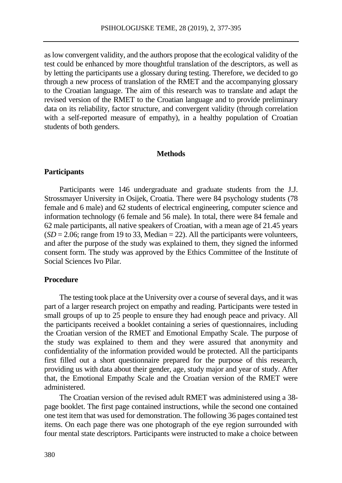as low convergent validity, and the authors propose that the ecological validity of the test could be enhanced by more thoughtful translation of the descriptors, as well as by letting the participants use a glossary during testing. Therefore, we decided to go through a new process of translation of the RMET and the accompanying glossary to the Croatian language. The aim of this research was to translate and adapt the revised version of the RMET to the Croatian language and to provide preliminary data on its reliability, factor structure, and convergent validity (through correlation with a self-reported measure of empathy), in a healthy population of Croatian students of both genders.

#### **Methods**

### **Participants**

Participants were 146 undergraduate and graduate students from the J.J. Strossmayer University in Osijek, Croatia. There were 84 psychology students (78 female and 6 male) and 62 students of electrical engineering, computer science and information technology (6 female and 56 male). In total, there were 84 female and 62 male participants, all native speakers of Croatian, with a mean age of 21.45 years  $(SD = 2.06$ ; range from 19 to 33, Median = 22). All the participants were volunteers, and after the purpose of the study was explained to them, they signed the informed consent form. The study was approved by the Ethics Committee of the Institute of Social Sciences Ivo Pilar.

### **Procedure**

The testing took place at the University over a course of several days, and it was part of a larger research project on empathy and reading. Participants were tested in small groups of up to 25 people to ensure they had enough peace and privacy. All the participants received a booklet containing a series of questionnaires, including the Croatian version of the RMET and Emotional Empathy Scale. The purpose of the study was explained to them and they were assured that anonymity and confidentiality of the information provided would be protected. All the participants first filled out a short questionnaire prepared for the purpose of this research, providing us with data about their gender, age, study major and year of study. After that, the Emotional Empathy Scale and the Croatian version of the RMET were administered.

The Croatian version of the revised adult RMET was administered using a 38 page booklet. The first page contained instructions, while the second one contained one test item that was used for demonstration. The following 36 pages contained test items. On each page there was one photograph of the eye region surrounded with four mental state descriptors. Participants were instructed to make a choice between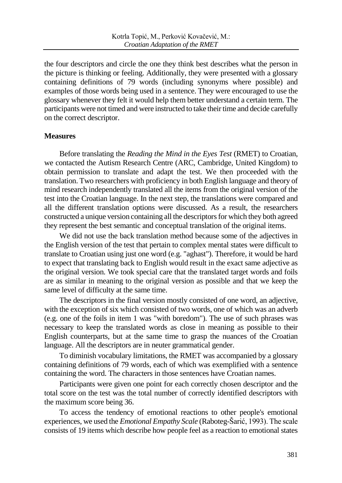the four descriptors and circle the one they think best describes what the person in the picture is thinking or feeling. Additionally, they were presented with a glossary containing definitions of 79 words (including synonyms where possible) and examples of those words being used in a sentence. They were encouraged to use the glossary whenever they felt it would help them better understand a certain term. The participants were not timed and were instructed to take their time and decide carefully on the correct descriptor.

## **Measures**

Before translating the *Reading the Mind in the Eyes Test* (RMET) to Croatian, we contacted the Autism Research Centre (ARC, Cambridge, United Kingdom) to obtain permission to translate and adapt the test. We then proceeded with the translation. Two researchers with proficiency in both English language and theory of mind research independently translated all the items from the original version of the test into the Croatian language. In the next step, the translations were compared and all the different translation options were discussed. As a result, the researchers constructed a unique version containing all the descriptors for which they both agreed they represent the best semantic and conceptual translation of the original items.

We did not use the back translation method because some of the adjectives in the English version of the test that pertain to complex mental states were difficult to translate to Croatian using just one word (e.g. "aghast"). Therefore, it would be hard to expect that translating back to English would result in the exact same adjective as the original version. We took special care that the translated target words and foils are as similar in meaning to the original version as possible and that we keep the same level of difficulty at the same time.

The descriptors in the final version mostly consisted of one word, an adjective, with the exception of six which consisted of two words, one of which was an adverb (e.g. one of the foils in item 1 was "with boredom"). The use of such phrases was necessary to keep the translated words as close in meaning as possible to their English counterparts, but at the same time to grasp the nuances of the Croatian language. All the descriptors are in neuter grammatical gender.

To diminish vocabulary limitations, the RMET was accompanied by a glossary containing definitions of 79 words, each of which was exemplified with a sentence containing the word. The characters in those sentences have Croatian names.

Participants were given one point for each correctly chosen descriptor and the total score on the test was the total number of correctly identified descriptors with the maximum score being 36.

To access the tendency of emotional reactions to other people's emotional experiences, we used the *Emotional Empathy Scale* (Raboteg-Šarić, 1993). The scale consists of 19 items which describe how people feel as a reaction to emotional states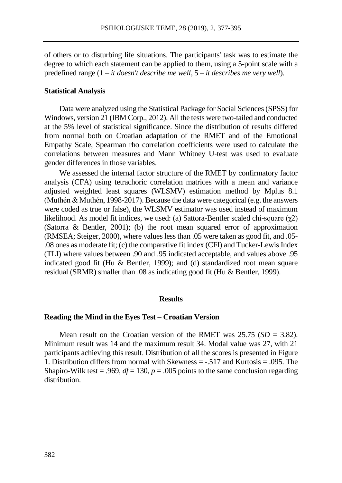of others or to disturbing life situations. The participants' task was to estimate the degree to which each statement can be applied to them, using a 5-point scale with a predefined range (1 – *it doesn't describe me well*, 5 – *it describes me very well*).

#### **Statistical Analysis**

Data were analyzed using the Statistical Package for Social Sciences (SPSS) for Windows, version 21 (IBM Corp., 2012). All the tests were two-tailed and conducted at the 5% level of statistical significance. Since the distribution of results differed from normal both on Croatian adaptation of the RMET and of the Emotional Empathy Scale, Spearman rho correlation coefficients were used to calculate the correlations between measures and Mann Whitney U‐test was used to evaluate gender differences in those variables.

We assessed the internal factor structure of the RMET by confirmatory factor analysis (CFA) using tetrachoric correlation matrices with a mean and variance adjusted weighted least squares (WLSMV) estimation method by Mplus 8.1 (Muthén & Muthén, 1998-2017). Because the data were categorical (e.g. the answers were coded as true or false), the WLSMV estimator was used instead of maximum likelihood. As model fit indices, we used: (a) Sattora-Bentler scaled chi-square ( $\gamma$ 2) (Satorra & Bentler, 2001); (b) the root mean squared error of approximation (RMSEA; Steiger, 2000), where values less than .05 were taken as good fit, and .05- .08 ones as moderate fit; (c) the comparative fit index (CFI) and Tucker-Lewis Index (TLI) where values between .90 and .95 indicated acceptable, and values above .95 indicated good fit (Hu & Bentler, 1999); and (d) standardized root mean square residual (SRMR) smaller than .08 as indicating good fit (Hu & Bentler, 1999).

#### **Results**

### **Reading the Mind in the Eyes Test – Croatian Version**

Mean result on the Croatian version of the RMET was 25.75 (*SD* = 3.82). Minimum result was 14 and the maximum result 34. Modal value was 27, with 21 participants achieving this result. Distribution of all the scores is presented in Figure 1. Distribution differs from normal with Skewness = -.517 and Kurtosis = .095. The Shapiro-Wilk test = .969,  $df = 130$ ,  $p = .005$  points to the same conclusion regarding distribution.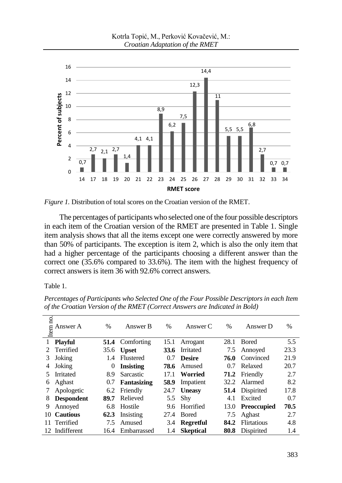

*Figure 1.* Distribution of total scores on the Croatian version of the RMET.

The percentages of participants who selected one of the four possible descriptors in each item of the Croatian version of the RMET are presented in Table 1. Single item analysis shows that all the items except one were correctly answered by more than 50% of participants. The exception is item 2, which is also the only item that had a higher percentage of the participants choosing a different answer than the correct one (35.6% compared to 33.6%). The item with the highest frequency of correct answers is item 36 with 92.6% correct answers.

Table 1.

| Item no. | Answer A          | $\frac{0}{0}$ | Answer B         | $\frac{0}{0}$ | Answer C         | $\%$ | Answer D               | $\frac{0}{0}$ |
|----------|-------------------|---------------|------------------|---------------|------------------|------|------------------------|---------------|
|          | <b>Playful</b>    | 51.4          | Comforting       | 15.1          | Arrogant         | 28.1 | <b>Bored</b>           | 5.5           |
|          | Terrified         | 35.6          | <b>Upset</b>     | 33.6          | Irritated        | 7.5  | Annoyed                | 23.3          |
| 3        | Joking            | 1.4           | Flustered        | 0.7           | <b>Desire</b>    | 76.0 | Convinced              | 21.9          |
| 4        | Joking            | $\theta$      | <b>Insisting</b> | 78.6          | Amused           | 0.7  | Relaxed                | 20.7          |
| 5        | <b>Irritated</b>  | 8.9           | Sarcastic        | 17.1          | Worried          | 71.2 | Friendly               | 2.7           |
| 6        | Aghast            | 0.7           | Fantasizing      | 58.9          | Impatient        | 32.2 | Alarmed                | 8.2           |
|          | Apologetic        | 6.2           | Friendly         | 24.7          | <b>Uneasy</b>    |      | <b>51.4</b> Dispirited | 17.8          |
| 8        | <b>Despondent</b> | 89.7          | Relieved         | 5.5           | Shy              | 4.1  | Excited                | 0.7           |
| 9        | Annoved           | 6.8           | Hostile          | 9.6           | Horrified        | 13.0 | <b>Preoccupied</b>     | 70.5          |
| 10       | <b>Cautious</b>   | 62.3          | Insisting        | 27.4          | <b>Bored</b>     | 7.5  | Aghast                 | 2.7           |
|          | Terrified         | 7.5           | Amused           | 3.4           | <b>Regretful</b> | 84.2 | <b>Flirtatious</b>     | 4.8           |
| 12.      | Indifferent       | 16.4          | Embarrassed      | 1.4           | <b>Skeptical</b> | 80.8 | Dispirited             | 1.4           |

*Percentages of Participants who Selected One of the Four Possible Descriptors in each Item of the Croatian Version of the RMET (Correct Answers are Indicated in Bold)*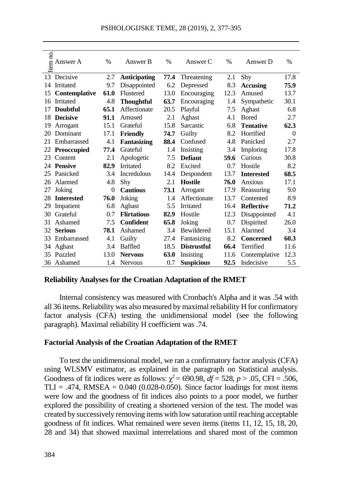| Item no                                                                                                                                                                                                                                                                                                                                                                                                                                                                                                                                                                                                                                                                                                                                                                                                                                                       | Answer A                                                                              | $\%$     | Answer B            | $\%$ | Answer C           | $\%$ | Answer D                                                                    | $\%$     |  |
|---------------------------------------------------------------------------------------------------------------------------------------------------------------------------------------------------------------------------------------------------------------------------------------------------------------------------------------------------------------------------------------------------------------------------------------------------------------------------------------------------------------------------------------------------------------------------------------------------------------------------------------------------------------------------------------------------------------------------------------------------------------------------------------------------------------------------------------------------------------|---------------------------------------------------------------------------------------|----------|---------------------|------|--------------------|------|-----------------------------------------------------------------------------|----------|--|
|                                                                                                                                                                                                                                                                                                                                                                                                                                                                                                                                                                                                                                                                                                                                                                                                                                                               | 13 Decisive                                                                           | 2.7      | <b>Anticipating</b> | 77.4 | Threatening        | 2.1  | Shy                                                                         | 17.8     |  |
|                                                                                                                                                                                                                                                                                                                                                                                                                                                                                                                                                                                                                                                                                                                                                                                                                                                               | 14 Irritated                                                                          | 9.7      | Disappointed        | 6.2  | Depressed          | 8.3  | <b>Accusing</b>                                                             | 75.9     |  |
| 15                                                                                                                                                                                                                                                                                                                                                                                                                                                                                                                                                                                                                                                                                                                                                                                                                                                            | Contemplative                                                                         | 61.0     | Flustered           | 13.0 | Encouraging        | 12.3 | Amused                                                                      | 13.7     |  |
|                                                                                                                                                                                                                                                                                                                                                                                                                                                                                                                                                                                                                                                                                                                                                                                                                                                               | 16 Irritated                                                                          | 4.8      | <b>Thoughtful</b>   | 63.7 | Encouraging        | 1.4  | Sympathetic                                                                 | 30.1     |  |
|                                                                                                                                                                                                                                                                                                                                                                                                                                                                                                                                                                                                                                                                                                                                                                                                                                                               | 17 Doubtful                                                                           | 65.1     | Affectionate        | 20.5 | Playful            | 7.5  | Aghast                                                                      | 6.8      |  |
|                                                                                                                                                                                                                                                                                                                                                                                                                                                                                                                                                                                                                                                                                                                                                                                                                                                               | 18 Decisive                                                                           | 91.1     | Amused              | 2.1  | Aghast             | 4.1  | <b>Bored</b>                                                                | 2.7      |  |
|                                                                                                                                                                                                                                                                                                                                                                                                                                                                                                                                                                                                                                                                                                                                                                                                                                                               | 19 Arrogant                                                                           | 15.1     | Grateful            | 15.8 | Sarcastic          | 6.8  | <b>Tentative</b>                                                            | 62.3     |  |
|                                                                                                                                                                                                                                                                                                                                                                                                                                                                                                                                                                                                                                                                                                                                                                                                                                                               | 20 Dominant                                                                           | 17.1     | <b>Friendly</b>     | 74.7 | Guilty             | 8.2  | Horrified                                                                   | $\theta$ |  |
|                                                                                                                                                                                                                                                                                                                                                                                                                                                                                                                                                                                                                                                                                                                                                                                                                                                               | 21 Embarrassed                                                                        | 4.1      | <b>Fantasizing</b>  | 88.4 | Confused           | 4.8  | Panicked                                                                    | 2.7      |  |
|                                                                                                                                                                                                                                                                                                                                                                                                                                                                                                                                                                                                                                                                                                                                                                                                                                                               | 22 Preoccupied                                                                        | 77.4     | Grateful            | 1.4  | Insisting          | 3.4  | Imploring                                                                   | 17.8     |  |
|                                                                                                                                                                                                                                                                                                                                                                                                                                                                                                                                                                                                                                                                                                                                                                                                                                                               | 23 Content                                                                            | 2.1      | Apologetic          | 7.5  | <b>Defiant</b>     | 59.6 | Curious                                                                     | 30.8     |  |
|                                                                                                                                                                                                                                                                                                                                                                                                                                                                                                                                                                                                                                                                                                                                                                                                                                                               | 24 Pensive                                                                            | 82.9     | Irritated           | 8.2  | Excited            | 0.7  | Hostile                                                                     | 8.2      |  |
|                                                                                                                                                                                                                                                                                                                                                                                                                                                                                                                                                                                                                                                                                                                                                                                                                                                               | 25 Panicked                                                                           | 3.4      | <b>Incredulous</b>  | 14.4 | Despondent         | 13.7 | <b>Interested</b>                                                           | 68.5     |  |
|                                                                                                                                                                                                                                                                                                                                                                                                                                                                                                                                                                                                                                                                                                                                                                                                                                                               | 26 Alarmed                                                                            | 4.8      | Shy                 | 2.1  | <b>Hostile</b>     | 76.0 | Anxious                                                                     | 17.1     |  |
|                                                                                                                                                                                                                                                                                                                                                                                                                                                                                                                                                                                                                                                                                                                                                                                                                                                               | 27 Joking                                                                             | $\theta$ | <b>Cautious</b>     | 73.1 | Arrogant           | 17.9 | Reassuring                                                                  | 9.0      |  |
|                                                                                                                                                                                                                                                                                                                                                                                                                                                                                                                                                                                                                                                                                                                                                                                                                                                               | 28 Interested                                                                         | 76.0     | Joking              | 1.4  | Affectionate       | 13.7 | Contented                                                                   | 8.9      |  |
|                                                                                                                                                                                                                                                                                                                                                                                                                                                                                                                                                                                                                                                                                                                                                                                                                                                               | 29 Impatient                                                                          | 6.8      | Aghast              | 5.5  | Irritated          | 16.4 | <b>Reflective</b>                                                           | 71.2     |  |
|                                                                                                                                                                                                                                                                                                                                                                                                                                                                                                                                                                                                                                                                                                                                                                                                                                                               | 30 Grateful                                                                           | 0.7      | <b>Flirtatious</b>  | 82.9 | Hostile            | 12.3 | Disappointed                                                                | 4.1      |  |
|                                                                                                                                                                                                                                                                                                                                                                                                                                                                                                                                                                                                                                                                                                                                                                                                                                                               | 31 Ashamed                                                                            | 7.5      | Confident           | 65.8 | Joking             | 0.7  | Dispirited                                                                  | 26.0     |  |
|                                                                                                                                                                                                                                                                                                                                                                                                                                                                                                                                                                                                                                                                                                                                                                                                                                                               | 32 Serious                                                                            | 78.1     | Ashamed             | 3.4  | Bewildered         | 15.1 | Alarmed                                                                     | 3.4      |  |
|                                                                                                                                                                                                                                                                                                                                                                                                                                                                                                                                                                                                                                                                                                                                                                                                                                                               | 33 Embarrassed                                                                        | 4.1      | Guilty              | 27.4 | Fantasizing        | 8.2  | <b>Concerned</b>                                                            | 60.3     |  |
|                                                                                                                                                                                                                                                                                                                                                                                                                                                                                                                                                                                                                                                                                                                                                                                                                                                               | 34 Aghast                                                                             | 3.4      | Baffled             | 18.5 | <b>Distrustful</b> | 66.4 | Terrified                                                                   | 11.6     |  |
|                                                                                                                                                                                                                                                                                                                                                                                                                                                                                                                                                                                                                                                                                                                                                                                                                                                               | 35 Puzzled                                                                            | 13.0     | <b>Nervous</b>      | 63.0 | Insisting          | 11.6 | Contemplative                                                               | 12.3     |  |
|                                                                                                                                                                                                                                                                                                                                                                                                                                                                                                                                                                                                                                                                                                                                                                                                                                                               | 36 Ashamed                                                                            | 1.4      | <b>Nervous</b>      | 0.7  | <b>Suspicious</b>  | 92.5 | Indecisive                                                                  | 5.5      |  |
|                                                                                                                                                                                                                                                                                                                                                                                                                                                                                                                                                                                                                                                                                                                                                                                                                                                               | <b>Reliability Analyses for the Croatian Adaptation of the RMET</b>                   |          |                     |      |                    |      |                                                                             |          |  |
|                                                                                                                                                                                                                                                                                                                                                                                                                                                                                                                                                                                                                                                                                                                                                                                                                                                               |                                                                                       |          |                     |      |                    |      | Internal consistency was measured with Cronbach's Alpha and it was .54 with |          |  |
|                                                                                                                                                                                                                                                                                                                                                                                                                                                                                                                                                                                                                                                                                                                                                                                                                                                               |                                                                                       |          |                     |      |                    |      |                                                                             |          |  |
|                                                                                                                                                                                                                                                                                                                                                                                                                                                                                                                                                                                                                                                                                                                                                                                                                                                               | all 36 items. Reliability was also measured by maximal reliability H for confirmatory |          |                     |      |                    |      |                                                                             |          |  |
|                                                                                                                                                                                                                                                                                                                                                                                                                                                                                                                                                                                                                                                                                                                                                                                                                                                               | factor analysis (CFA) testing the unidimensional model (see the following             |          |                     |      |                    |      |                                                                             |          |  |
|                                                                                                                                                                                                                                                                                                                                                                                                                                                                                                                                                                                                                                                                                                                                                                                                                                                               | paragraph). Maximal reliability H coefficient was .74.                                |          |                     |      |                    |      |                                                                             |          |  |
|                                                                                                                                                                                                                                                                                                                                                                                                                                                                                                                                                                                                                                                                                                                                                                                                                                                               |                                                                                       |          |                     |      |                    |      |                                                                             |          |  |
|                                                                                                                                                                                                                                                                                                                                                                                                                                                                                                                                                                                                                                                                                                                                                                                                                                                               |                                                                                       |          |                     |      |                    |      |                                                                             |          |  |
| <b>Factorial Analysis of the Croatian Adaptation of the RMET</b><br>To test the unidimensional model, we ran a confirmatory factor analysis (CFA)<br>using WLSMV estimator, as explained in the paragraph on Statistical analysis.<br>Goodness of fit indices were as follows: $\chi^2$ = 690.98, $df$ = 528, p > .05, CFI = .506,<br>TLI = .474, RMSEA = $0.040$ (0.028-0.050). Since factor loadings for most items<br>were low and the goodness of fit indices also points to a poor model, we further<br>explored the possibility of creating a shortened version of the test. The model was<br>created by successively removing items with low saturation until reaching acceptable<br>goodness of fit indices. What remained were seven items (items 11, 12, 15, 18, 20,<br>28 and 34) that showed maximal interrelations and shared most of the common |                                                                                       |          |                     |      |                    |      |                                                                             |          |  |
| 384                                                                                                                                                                                                                                                                                                                                                                                                                                                                                                                                                                                                                                                                                                                                                                                                                                                           |                                                                                       |          |                     |      |                    |      |                                                                             |          |  |

#### **Reliability Analyses for the Croatian Adaptation of the RMET**

#### **Factorial Analysis of the Croatian Adaptation of the RMET**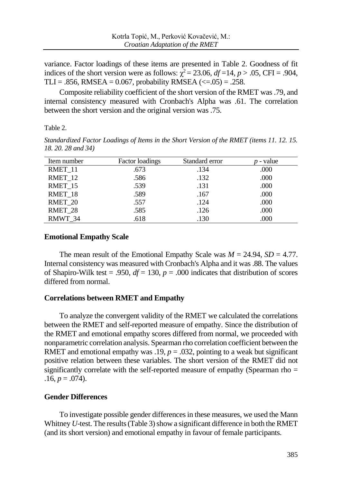variance. Factor loadings of these items are presented in Table 2. Goodness of fit indices of the short version were as follows:  $\chi^2 = 23.06$ ,  $df = 14$ ,  $p > .05$ , CFI = .904, TLI = .856, RMSEA =  $0.067$ , probability RMSEA (<=.05) = .258.

Composite reliability coefficient of the short version of the RMET was .79, and internal consistency measured with Cronbach's Alpha was .61. The correlation between the short version and the original version was .75.

Table 2.

*Standardized Factor Loadings of Items in the Short Version of the RMET (items 11. 12. 15. 18. 20. 28 and 34)*

| Item number | Factor loadings | Standard error | - value |
|-------------|-----------------|----------------|---------|
| RMET 11     | .673            | .134           | .000    |
| RMET 12     | .586            | .132           | .000    |
| RMET_15     | .539            | .131           | .000    |
| RMET 18     | .589            | .167           | .000    |
| RMET 20     | .557            | .124           | .000    |
| RMET 28     | .585            | .126           | .000    |
| RMWT 34     | .618            | .130           | .000    |

### **Emotional Empathy Scale**

The mean result of the Emotional Empathy Scale was  $M = 24.94$ ,  $SD = 4.77$ . Internal consistency was measured with Cronbach's Alpha and it was .88. The values of Shapiro-Wilk test = .950,  $df = 130$ ,  $p = .000$  indicates that distribution of scores differed from normal.

# **Correlations between RMET and Empathy**

To analyze the convergent validity of the RMET we calculated the correlations between the RMET and self-reported measure of empathy. Since the distribution of the RMET and emotional empathy scores differed from normal, we proceeded with nonparametric correlation analysis. Spearman rho correlation coefficient between the RMET and emotional empathy was .19,  $p = .032$ , pointing to a weak but significant positive relation between these variables. The short version of the RMET did not significantly correlate with the self-reported measure of empathy (Spearman rho =  $.16, p = .074$ .

# **Gender Differences**

To investigate possible gender differences in these measures, we used the Mann Whitney *U*-test. The results (Table 3) show a significant difference in both the RMET (and its short version) and emotional empathy in favour of female participants.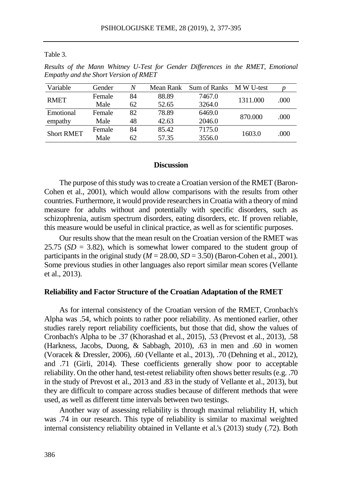Table 3.

*Results of the Mann Whitney U-Test for Gender Differences in the RMET, Emotional Empathy and the Short Version of RMET*

| Variable          | Gender | N  | Mean Rank | Sum of Ranks | M W U-test |      |
|-------------------|--------|----|-----------|--------------|------------|------|
| <b>RMET</b>       | Female | 84 | 88.89     | 7467.0       | 1311.000   |      |
|                   | Male   | 62 | 52.65     | 3264.0       |            | .000 |
| Emotional         | Female | 82 | 78.89     | 6469.0       |            | .000 |
| empathy           | Male   | 48 | 42.63     | 2046.0       | 870.000    |      |
| <b>Short RMET</b> | Female | 84 | 85.42     | 7175.0       | 1603.0     |      |
|                   | Male   | 62 | 57.35     | 3556.0       |            | .000 |

### **Discussion**

The purpose of this study was to create a Croatian version of the RMET (Baron-Cohen et al., 2001), which would allow comparisons with the results from other countries. Furthermore, it would provide researchers in Croatia with a theory of mind measure for adults without and potentially with specific disorders, such as schizophrenia, autism spectrum disorders, eating disorders, etc. If proven reliable, this measure would be useful in clinical practice, as well as for scientific purposes.

Our results show that the mean result on the Croatian version of the RMET was 25.75  $(SD = 3.82)$ , which is somewhat lower compared to the student group of participants in the original study  $(M = 28.00, SD = 3.50)$  (Baron-Cohen et al., 2001). Some previous studies in other languages also report similar mean scores (Vellante et al., 2013).

#### **Reliability and Factor Structure of the Croatian Adaptation of the RMET**

As for internal consistency of the Croatian version of the RMET, Cronbach's Alpha was .54, which points to rather poor reliability. As mentioned earlier, other studies rarely report reliability coefficients, but those that did, show the values of Cronbach's Alpha to be .37 (Khorashad et al., 2015), .53 (Prevost et al., 2013), .58 (Harkness, Jacobs, Duong, & Sabbagh, 2010), .63 in men and .60 in women (Voracek & Dressler, 2006), .60 (Vellante et al., 2013), .70 (Dehning et al., 2012), and .71 (Girli, 2014). These coefficients generally show poor to acceptable reliability. On the other hand, test-retest reliability often shows better results (e.g. .70 in the study of Prevost et al., 2013 and .83 in the study of Vellante et al., 2013), but they are difficult to compare across studies because of different methods that were used, as well as different time intervals between two testings.

Another way of assessing reliability is through maximal reliability H, which was .74 in our research. This type of reliability is similar to maximal weighted internal consistency reliability obtained in Vellante et al.'s (2013) study (.72). Both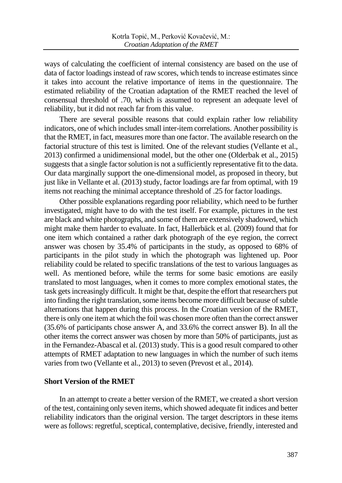ways of calculating the coefficient of internal consistency are based on the use of data of factor loadings instead of raw scores, which tends to increase estimates since it takes into account the relative importance of items in the questionnaire. The estimated reliability of the Croatian adaptation of the RMET reached the level of consensual threshold of .70, which is assumed to represent an adequate level of reliability, but it did not reach far from this value.

There are several possible reasons that could explain rather low reliability indicators, one of which includes small inter-item correlations. Another possibility is that the RMET, in fact, measures more than one factor. The available research on the factorial structure of this test is limited. One of the relevant studies (Vellante et al., 2013) confirmed a unidimensional model, but the other one (Olderbak et al., 2015) suggests that a single factor solution is not a sufficiently representative fit to the data. Our data marginally support the one-dimensional model, as proposed in theory, but just like in Vellante et al. (2013) study, factor loadings are far from optimal, with 19 items not reaching the minimal acceptance threshold of .25 for factor loadings.

Other possible explanations regarding poor reliability, which need to be further investigated, might have to do with the test itself. For example, pictures in the test are black and white photographs, and some of them are extensively shadowed, which might make them harder to evaluate. In fact, Hallerbäck et al. (2009) found that for one item which contained a rather dark photograph of the eye region, the correct answer was chosen by 35.4% of participants in the study, as opposed to 68% of participants in the pilot study in which the photograph was lightened up. Poor reliability could be related to specific translations of the test to various languages as well. As mentioned before, while the terms for some basic emotions are easily translated to most languages, when it comes to more complex emotional states, the task gets increasingly difficult. It might be that, despite the effort that researchers put into finding the right translation, some items become more difficult because of subtle alternations that happen during this process. In the Croatian version of the RMET, there is only one item at which the foil was chosen more often than the correct answer (35.6% of participants chose answer A, and 33.6% the correct answer B). In all the other items the correct answer was chosen by more than 50% of participants, just as in the Fernandez-Abascal et al. (2013) study. This is a good result compared to other attempts of RMET adaptation to new languages in which the number of such items varies from two (Vellante et al., 2013) to seven (Prevost et al., 2014).

# **Short Version of the RMET**

In an attempt to create a better version of the RMET, we created a short version of the test, containing only seven items, which showed adequate fit indices and better reliability indicators than the original version. The target descriptors in these items were as follows: regretful, sceptical, contemplative, decisive, friendly, interested and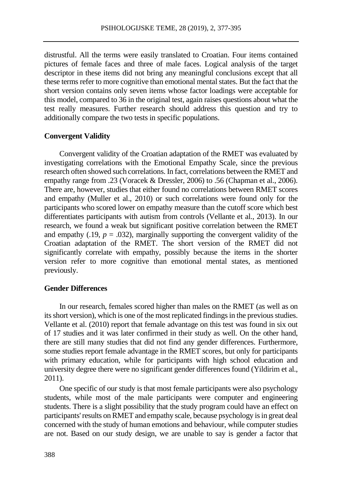distrustful. All the terms were easily translated to Croatian. Four items contained pictures of female faces and three of male faces. Logical analysis of the target descriptor in these items did not bring any meaningful conclusions except that all these terms refer to more cognitive than emotional mental states. But the fact that the short version contains only seven items whose factor loadings were acceptable for this model, compared to 36 in the original test, again raises questions about what the test really measures. Further research should address this question and try to additionally compare the two tests in specific populations.

### **Convergent Validity**

Convergent validity of the Croatian adaptation of the RMET was evaluated by investigating correlations with the Emotional Empathy Scale, since the previous research often showed such correlations. In fact, correlations between the RMET and empathy range from .23 (Voracek & Dressler, 2006) to .56 (Chapman et al., 2006). There are, however, studies that either found no correlations between RMET scores and empathy (Muller et al., 2010) or such correlations were found only for the participants who scored lower on empathy measure than the cutoff score which best differentiates participants with autism from controls (Vellante et al., 2013). In our research, we found a weak but significant positive correlation between the RMET and empathy (.19,  $p = .032$ ), marginally supporting the convergent validity of the Croatian adaptation of the RMET. The short version of the RMET did not significantly correlate with empathy, possibly because the items in the shorter version refer to more cognitive than emotional mental states, as mentioned previously.

### **Gender Differences**

In our research, females scored higher than males on the RMET (as well as on its short version), which is one of the most replicated findings in the previous studies. Vellante et al. (2010) report that female advantage on this test was found in six out of 17 studies and it was later confirmed in their study as well. On the other hand, there are still many studies that did not find any gender differences. Furthermore, some studies report female advantage in the RMET scores, but only for participants with primary education, while for participants with high school education and university degree there were no significant gender differences found (Yildirim et al., 2011).

One specific of our study is that most female participants were also psychology students, while most of the male participants were computer and engineering students. There is a slight possibility that the study program could have an effect on participants'results on RMET and empathy scale, because psychology is in great deal concerned with the study of human emotions and behaviour, while computer studies are not. Based on our study design, we are unable to say is gender a factor that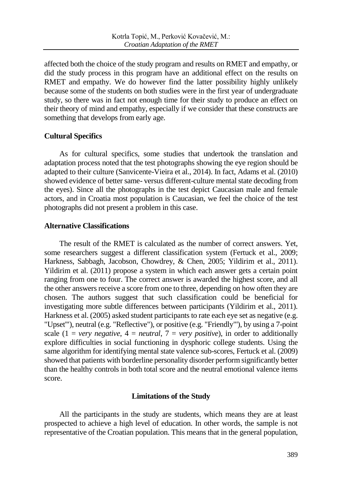affected both the choice of the study program and results on RMET and empathy, or did the study process in this program have an additional effect on the results on RMET and empathy. We do however find the latter possibility highly unlikely because some of the students on both studies were in the first year of undergraduate study, so there was in fact not enough time for their study to produce an effect on their theory of mind and empathy, especially if we consider that these constructs are something that develops from early age.

# **Cultural Specifics**

As for cultural specifics, some studies that undertook the translation and adaptation process noted that the test photographs showing the eye region should be adapted to their culture (Sanvicente-Vieira et al., 2014). In fact, Adams et al. (2010) showed evidence of better same- versus different-culture mental state decoding from the eyes). Since all the photographs in the test depict Caucasian male and female actors, and in Croatia most population is Caucasian, we feel the choice of the test photographs did not present a problem in this case.

### **Alternative Classifications**

The result of the RMET is calculated as the number of correct answers. Yet, some researchers suggest a different classification system (Fertuck et al., 2009; Harkness, Sabbagh, Jacobson, Chowdrey, & Chen, 2005; Yildirim et al., 2011). Yildirim et al. (2011) propose a system in which each answer gets a certain point ranging from one to four. The correct answer is awarded the highest score, and all the other answers receive a score from one to three, depending on how often they are chosen. The authors suggest that such classification could be beneficial for investigating more subtle differences between participants (Yildirim et al., 2011). Harkness et al. (2005) asked student participants to rate each eye set as negative (e.g. "Upset'"), neutral (e.g. "Reflective"), or positive (e.g. "Friendly"'), by using a 7-point scale  $(1 = very negative, 4 = neutral, 7 = very positive)$ , in order to additionally explore difficulties in social functioning in dysphoric college students. Using the same algorithm for identifying mental state valence sub-scores, Fertuck et al. (2009) showed that patients with borderline personality disorder perform significantly better than the healthy controls in both total score and the neutral emotional valence items score.

### **Limitations of the Study**

All the participants in the study are students, which means they are at least prospected to achieve a high level of education. In other words, the sample is not representative of the Croatian population. This means that in the general population,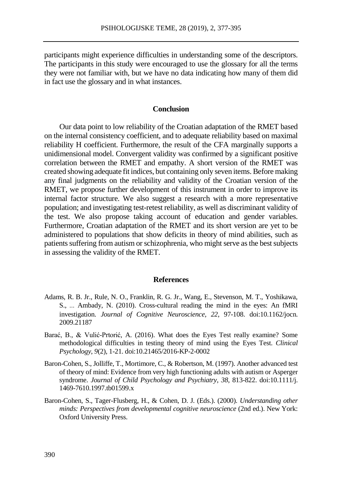participants might experience difficulties in understanding some of the descriptors. The participants in this study were encouraged to use the glossary for all the terms they were not familiar with, but we have no data indicating how many of them did in fact use the glossary and in what instances.

### **Conclusion**

Our data point to low reliability of the Croatian adaptation of the RMET based on the internal consistency coefficient, and to adequate reliability based on maximal reliability H coefficient. Furthermore, the result of the CFA marginally supports a unidimensional model. Convergent validity was confirmed by a significant positive correlation between the RMET and empathy. A short version of the RMET was created showing adequate fit indices, but containing only seven items. Before making any final judgments on the reliability and validity of the Croatian version of the RMET, we propose further development of this instrument in order to improve its internal factor structure. We also suggest a research with a more representative population; and investigating test-retest reliability, as well as discriminant validity of the test. We also propose taking account of education and gender variables. Furthermore, Croatian adaptation of the RMET and its short version are yet to be administered to populations that show deficits in theory of mind abilities, such as patients suffering from autism or schizophrenia, who might serve as the best subjects in assessing the validity of the RMET.

#### **References**

- Adams, R. B. Jr., Rule, N. O., Franklin, R. G. Jr., Wang, E., Stevenson, M. T., Yoshikawa, S., <sup>⋯</sup> Ambady, N. (2010). Cross-cultural reading the mind in the eyes: An fMRI investigation. *Journal of Cognitive Neuroscience, 22*, 97-108. doi:10.1162/jocn. 2009.21187
- Barać, B., & Vulić-Prtorić, A. (2016). What does the Eyes Test really examine? Some methodological difficulties in testing theory of mind using the Eyes Test. *Clinical Psychology*, *9*(2), 1-21. doi:10.21465/2016-KP-2-0002
- Baron-Cohen, S., Jolliffe, T., Mortimore, C., & Robertson, M. (1997). Another advanced test of theory of mind: Evidence from very high functioning adults with autism or Asperger syndrome. *Journal of Child Psychology and Psychiatry*, *38*, 813-822. doi:10.1111/j. 1469-7610.1997.tb01599.x
- Baron-Cohen, S., Tager-Flusberg, H., & Cohen, D. J. (Eds.). (2000). *Understanding other minds: Perspectives from developmental cognitive neuroscience* (2nd ed.). New York: Oxford University Press.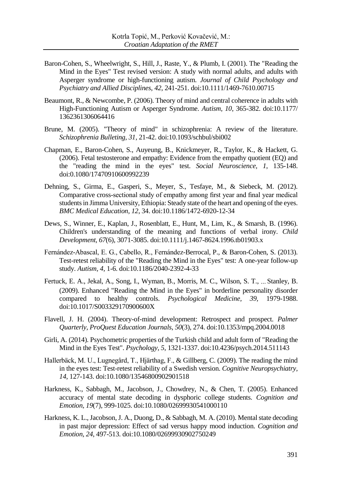- Baron-Cohen, S., Wheelwright, S., Hill, J., Raste, Y., & Plumb, I. (2001). The "Reading the Mind in the Eyes" Test revised version: A study with normal adults, and adults with Asperger syndrome or high-functioning autism. *Journal of Child Psychology and Psychiatry and Allied Disciplines*, *42*, 241-251. doi:10.1111/1469-7610.00715
- Beaumont, R., & Newcombe, P. (2006). Theory of mind and central coherence in adults with High-Functioning Autism or Asperger Syndrome. *Autism, 10*, 365-382. doi:10.1177/ 1362361306064416
- Brune, M. (2005). "Theory of mind" in schizophrenia: A review of the literature. *Schizophrenia Bulleting, 31*, 21-42. doi:10.1093/schbul/sbi002
- Chapman, E., Baron-Cohen, S., Auyeung, B., Knickmeyer, R., Taylor, K., & Hackett, G. (2006). Fetal testosterone and empathy: Evidence from the empathy quotient (EQ) and the "reading the mind in the eyes" test. *Social Neuroscience, 1*, 135-148. doi:0.1080/17470910600992239
- Dehning, S., Girma, E., Gasperi, S., Meyer, S., Tesfaye, M., & Siebeck, M. (2012). Comparative cross-sectional study of empathy among first year and final year medical students in Jimma University, Ethiopia: Steady state of the heart and opening of the eyes. *BMC Medical Education*, *12*, 34. doi:10.1186/1472-6920-12-34
- Dews, S., Winner, E., Kaplan, J., Rosenblatt, E., Hunt, M., Lim, K., & Smarsh, B. (1996). Children's understanding of the meaning and functions of verbal irony. *Child Development*, *67*(6), 3071-3085. doi:10.1111/j.1467-8624.1996.tb01903.x
- Fernández-Abascal, E. G., Cabello, R., Fernández-Berrocal, P., & Baron-Cohen, S. (2013). Test-retest reliability of the "Reading the Mind in the Eyes" test: A one-year follow-up study. *Autism, 4*, 1-6. doi:10.1186/2040-2392-4-33
- Fertuck, E. A., Jekal, A., Song, I., Wyman, B., Morris, M. C., Wilson, S. T., <sup>⋯</sup> Stanley, B. (2009). Enhanced "Reading the Mind in the Eyes" in borderline personality disorder compared to healthy controls. *Psychological Medicine, 39,* 1979-1988. doi:10.1017/S003329170900600X
- Flavell, J. H. (2004). Theory-of-mind development: Retrospect and prospect. *Palmer Quarterly, ProQuest Education Journals*, *50*(3), 274. doi:10.1353/mpq.2004.0018
- Girli, A. (2014). Psychometric properties of the Turkish child and adult form of "Reading the Mind in the Eyes Test". *Psychology, 5*, 1321-1337. doi:10.4236/psych.2014.511143
- Hallerbäck, M. U., Lugnegård, T., Hjärthag, F., & Gillberg, C. (2009). The reading the mind in the eyes test: Test-retest reliability of a Swedish version. *Cognitive Neuropsychiatry, 14*, 127-143. doi:10.1080/13546800902901518
- Harkness, K., Sabbagh, M., Jacobson, J., Chowdrey, N., & Chen, T. (2005). Enhanced accuracy of mental state decoding in dysphoric college students. *Cognition and Emotion, 19*(7), 999-1025. doi:10.1080/02699930541000110
- Harkness, K. L., Jacobson, J. A., Duong, D., & Sabbagh, M. A. (2010). Mental state decoding in past major depression: Effect of sad versus happy mood induction. *Cognition and Emotion*, *24*, 497-513. doi:10.1080/02699930902750249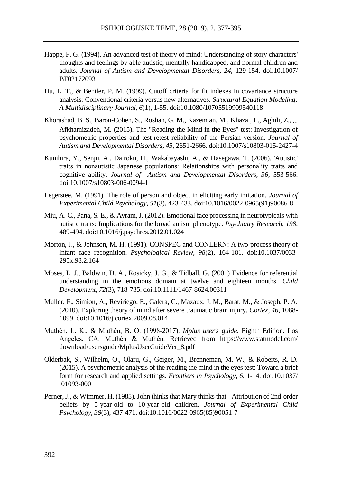- Happe, F. G. (1994). An advanced test of theory of mind: Understanding of story characters' thoughts and feelings by able autistic, mentally handicapped, and normal children and adults. *Journal of Autism and Developmental Disorders, 24*, 129-154. doi:10.1007/ BF02172093
- Hu, L. T., & Bentler, P. M. (1999). Cutoff criteria for fit indexes in covariance structure analysis: Conventional criteria versus new alternatives. *Structural Equation Modeling: A Multidisciplinary Journal, 6*(1), 1-55. doi:10.1080/10705519909540118
- Khorashad, B. S., Baron-Cohen, S., Roshan, G. M., Kazemian, M., Khazai, L., Aghili, Z., <sup>⋯</sup> Afkhamizadeh, M. (2015). The "Reading the Mind in the Eyes" test: Investigation of psychometric properties and test-retest reliability of the Persian version. *Journal of Autism and Developmental Disorders, 45*, 2651-2666. doi:10.1007/s10803-015-2427-4
- Kunihira, Y., Senju, A., Dairoku, H., Wakabayashi, A., & Hasegawa, T. (2006). 'Autistic' traits in nonautistic Japanese populations: Relationships with personality traits and cognitive ability. *Journal of Autism and Developmental Disorders, 36*, 553-566. doi:10.1007/s10803-006-0094-1
- Legerstee, M. (1991). The role of person and object in eliciting early imitation. *Journal of Experimental Child Psychology, 51*(3), 423-433. doi:10.1016/0022-0965(91)90086-8
- Miu, A. C., Pana, S. E., & Avram, J. (2012). Emotional face processing in neurotypicals with autistic traits: Implications for the broad autism phenotype. *Psychiatry Research, 198*, 489-494. doi:10.1016/j.psychres.2012.01.024
- Morton, J., & Johnson, M. H. (1991). CONSPEC and CONLERN: A two-process theory of infant face recognition. *Psychological Review, 98*(2), 164-181. doi:10.1037/0033- 295x.98.2.164
- Moses, L. J., Baldwin, D. A., Rosicky, J. G., & Tidball, G. (2001) Evidence for referential understanding in the emotions domain at twelve and eighteen months. *Child Development*, *72*(3), 718-735. doi:10.1111/1467-8624.00311
- Muller, F., Simion, A., Reviriego, E., Galera, C., Mazaux, J. M., Barat, M., & Joseph, P. A. (2010). Exploring theory of mind after severe traumatic brain injury. *Cortex, 46*, 1088- 1099. doi:10.1016/j.cortex.2009.08.014
- Muthén, L. K., & Muthén, B. O. (1998-2017). *Mplus user's guide*. Eighth Edition. Los Angeles, CA: Muthén & Muthén. Retrieved from https://www.statmodel.com/ download/usersguide/MplusUserGuideVer\_8.pdf
- Olderbak, S., Wilhelm, O., Olaru, G., Geiger, M., Brenneman, M. W., & Roberts, R. D. (2015). A psychometric analysis of the reading the mind in the eyes test: Toward a brief form for research and applied settings. *Frontiers in Psychology, 6*, 1-14. doi:10.1037/ t01093-000
- Perner, J., & Wimmer, H. (1985). John thinks that Mary thinks that Attribution of 2nd-order beliefs by 5-year-old to 10-year-old children. *Journal of Experimental Child Psychology, 39*(3), 437-471. doi:10.1016/0022-0965(85)90051-7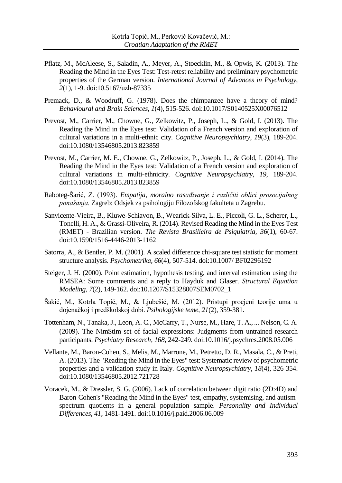- Pflatz, M., McAleese, S., Saladin, A., Meyer, A., Stoecklin, M., & Opwis, K. (2013). The Reading the Mind in the Eyes Test: Test-retest reliability and preliminary psychometric properties of the German version. *International Journal of Advances in Psychology*, *2*(1), 1-9. doi:10.5167/uzh-87335
- Premack, D., & Woodruff, G. (1978). Does the chimpanzee have a theory of mind? *Behavioural and Brain Sciences*, *1*(4), 515-526. doi:10.1017/S0140525X00076512
- Prevost, M., Carrier, M., Chowne, G., Zelkowitz, P., Joseph, L., & Gold, I. (2013). The Reading the Mind in the Eyes test: Validation of a French version and exploration of cultural variations in a multi-ethnic city. *Cognitive Neuropsychiatry, 19*(3), 189-204. doi:10.1080/13546805.2013.823859
- Prevost, M., Carrier, M. E., Chowne, G., Zelkowitz, P., Joseph, L., & Gold, I. (2014). The Reading the Mind in the Eyes test: Validation of a French version and exploration of cultural variations in multi-ethnicity. *Cognitive Neuropsychiatry, 19*, 189-204. doi:10.1080/13546805.2013.823859
- Raboteg-Šarić, Z. (1993). *Empatija, moralno rasuđivanje i različiti oblici prosocijalnog ponašanja.* Zagreb: Odsjek za psihologiju Filozofskog fakulteta u Zagrebu.
- [Sanvicente-Vieira, B.](https://www.ncbi.nlm.nih.gov/pubmed/?term=Sanvicente-Vieira%20B%5BAuthor%5D&cauthor=true&cauthor_uid=24604455)[, Kluwe-Schiavon, B.](https://www.ncbi.nlm.nih.gov/pubmed/?term=Kluwe-Schiavon%20B%5BAuthor%5D&cauthor=true&cauthor_uid=24604455), [Wearick-Silva, L.](https://www.ncbi.nlm.nih.gov/pubmed/?term=Wearick-Silva%20LE%5BAuthor%5D&cauthor=true&cauthor_uid=24604455) E.[, Piccoli, G.](https://www.ncbi.nlm.nih.gov/pubmed/?term=Piccoli%20GL%5BAuthor%5D&cauthor=true&cauthor_uid=24604455) L.[, Scherer, L.](https://www.ncbi.nlm.nih.gov/pubmed/?term=Scherer%20L%5BAuthor%5D&cauthor=true&cauthor_uid=24604455), [Tonelli, H.](https://www.ncbi.nlm.nih.gov/pubmed/?term=Tonelli%20HA%5BAuthor%5D&cauthor=true&cauthor_uid=24604455) A., [& Grassi-Oliveira, R.](https://www.ncbi.nlm.nih.gov/pubmed/?term=Grassi-Oliveira%20R%5BAuthor%5D&cauthor=true&cauthor_uid=24604455) (2014). Revised Reading the Mind in the Eyes Test (RMET) - Brazilian version. *The Revista Brasilieira de Psiquiatria, 36*(1), 60-67. doi:10.1590/1516-4446-2013-1162
- Satorra, A., & Bentler, P. M. (2001). A scaled difference chi-square test statistic for moment structure analysis. *Psychometrika, 66*(4), 507-514. doi:10.1007/ BF02296192
- Steiger, J. H. (2000). Point estimation, hypothesis testing, and interval estimation using the RMSEA: Some comments and a reply to Hayduk and Glaser. *Structural Equation Modeling, 7*(2), 149-162. doi:10.1207/S15328007SEM0702\_1
- Šakić, M., Kotrla Topić, M., & Ljubešić, M. (2012). Pristupi procjeni teorije uma u dojenačkoj i predškolskoj dobi. *Psihologijske teme, 21*(2), 359-381.
- Tottenham, N., Tanaka, J., Leon, A. C., McCarry, T., Nurse, M., Hare, T. A., <sup>⋯</sup> Nelson, C. A. (2009). The NimStim set of facial expressions: Judgments from untrained research participants. *Psychiatry Research, 168*, 242-249. do[i:10.1016/j.psychres.2008.05.006](https://doi.org/10.1016/j.psychres.2008.05.006)
- Vellante, M., Baron-Cohen, S., Melis, M., Marrone, M., Petretto, D. R., Masala, C., & Preti, A. (2013). The "Reading the Mind in the Eyes" test: Systematic review of psychometric properties and a validation study in Italy. *Cognitive Neuropsychiatry*, *18*(4), 326-354. doi:10.1080/13546805.2012.721728
- Voracek, M., & Dressler, S. G. (2006). Lack of correlation between digit ratio (2D:4D) and Baron-Cohen's "Reading the Mind in the Eyes" test, empathy, systemising, and autismspectrum quotients in a general population sample. *Personality and Individual Differences, 41*, 1481-1491. doi:10.1016/j.paid.2006.06.009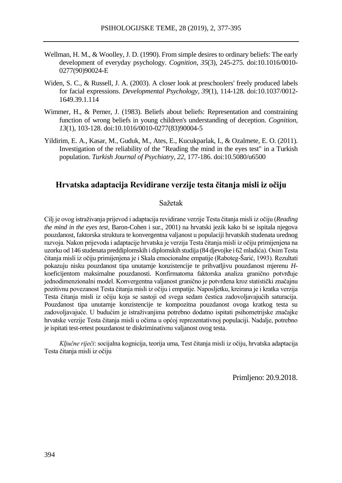- Wellman, H. M., & Woolley, J. D. (1990). From simple desires to ordinary beliefs: The early development of everyday psychology. *Cognition*, *35*(3), 245-275. doi:10.1016/0010- 0277(90)90024-E
- Widen, S. C., & Russell, J. A. (2003). A closer look at preschoolers' freely produced labels for facial expressions. *Developmental Psychology, 39*(1), 114-128. doi:10.1037/0012- 1649.39.1.114
- Wimmer, H., & Perner, J. (1983). Beliefs about beliefs: Representation and constraining function of wrong beliefs in young children's understanding of deception. *Cognition*, *13*(1), 103-128. doi:10.1016/0010-0277(83)90004-5
- Yildirim, E. A., Kasar, M., Guduk, M., Ates, E., Kucukparlak, I., & Ozalmete, E. O. (2011). Investigation of the reliability of the "Reading the mind in the eyes test" in a Turkish population. *Turkish Journal of Psychiatry, 22*, 177-186. doi:10.5080/u6500

# **Hrvatska adaptacija Revidirane verzije testa čitanja misli iz očiju**

#### Sažetak

Cilj je ovog istraživanja prijevod i adaptacija revidirane verzije Testa čitanja misli iz očiju (*Reading the mind in the eyes test*, Baron-Cohen i sur., 2001) na hrvatski jezik kako bi se ispitala njegova pouzdanost, faktorska struktura te konvergentna valjanost u populaciji hrvatskih studenata urednog razvoja. Nakon prijevoda i adaptacije hrvatska je verzija Testa čitanja misli iz očiju primijenjena na uzorku od 146 studenata preddiplomskih i diplomskih studija (84 djevojke i 62 mladića). Osim Testa čitanja misli iz očiju primijenjena je i Skala emocionalne empatije (Raboteg-Šarić, 1993). Rezultati pokazuju nisku pouzdanost tipa unutarnje konzistencije te prihvatljivu pouzdanost mjerenu *H*koeficijentom maksimalne pouzdanosti. Konfirmatorna faktorska analiza granično potvrđuje jednodimenzionalni model. Konvergentna valjanost granično je potvrđena kroz statistički značajnu pozitivnu povezanost Testa čitanja misli iz očiju i empatije. Naposljetku, kreirana je i kratka verzija Testa čitanja misli iz očiju koja se sastoji od svega sedam čestica zadovoljavajućih saturacija. Pouzdanost tipa unutarnje konzistencije te kompozitna pouzdanost ovoga kratkog testa su zadovoljavajuće. U budućim je istraživanjima potrebno dodatno ispitati psihometrijske značajke hrvatske verzije Testa čitanja misli u očima u općoj reprezentativnoj populaciji. Nadalje, potrebno je ispitati test-retest pouzdanost te diskriminativnu valjanost ovog testa.

*Ključne riječi*: socijalna kognicija, teorija uma, Test čitanja misli iz očiju, hrvatska adaptacija Testa čitanja misli iz očiju

Primljeno: 20.9.2018.